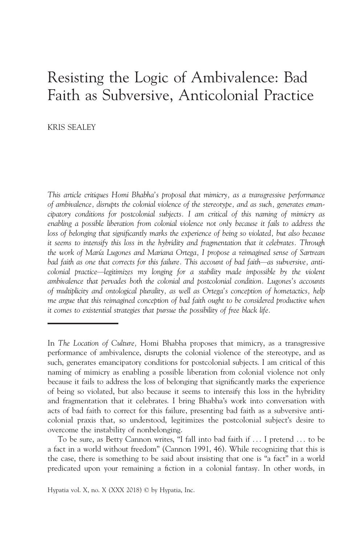# Resisting the Logic of Ambivalence: Bad Faith as Subversive, Anticolonial Practice

KRIS SEALEY

This article critiques Homi Bhabha's proposal that mimicry, as a transgressive performance of ambivalence, disrupts the colonial violence of the stereotype, and as such, generates emancipatory conditions for postcolonial subjects. I am critical of this naming of mimicry as enabling a possible liberation from colonial violence not only because it fails to address the loss of belonging that significantly marks the experience of being so violated, but also because it seems to intensify this loss in the hybridity and fragmentation that it celebrates. Through the work of Marıa Lugones and Mariana Ortega, I propose a reimagined sense of Sartrean bad faith as one that corrects for this failure. This account of bad faith—as subversive, anticolonial practice—legitimizes my longing for a stability made impossible by the violent ambivalence that pervades both the colonial and postcolonial condition. Lugones's accounts of multiplicity and ontological plurality, as well as Ortega's conception of hometactics, help me argue that this reimagined conception of bad faith ought to be considered productive when it comes to existential strategies that pursue the possibility of free black life.

In The Location of Culture, Homi Bhabha proposes that mimicry, as a transgressive performance of ambivalence, disrupts the colonial violence of the stereotype, and as such, generates emancipatory conditions for postcolonial subjects. I am critical of this naming of mimicry as enabling a possible liberation from colonial violence not only because it fails to address the loss of belonging that significantly marks the experience of being so violated, but also because it seems to intensify this loss in the hybridity and fragmentation that it celebrates. I bring Bhabha's work into conversation with acts of bad faith to correct for this failure, presenting bad faith as a subversive anticolonial praxis that, so understood, legitimizes the postcolonial subject's desire to overcome the instability of nonbelonging.

To be sure, as Betty Cannon writes, "I fall into bad faith if ... I pretend ... to be a fact in a world without freedom" (Cannon 1991, 46). While recognizing that this is the case, there is something to be said about insisting that one is "a fact" in a world predicated upon your remaining a fiction in a colonial fantasy. In other words, in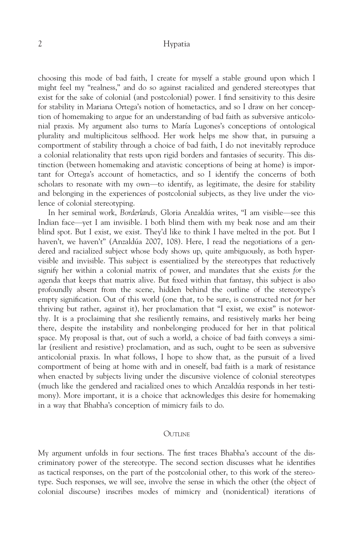choosing this mode of bad faith, I create for myself a stable ground upon which I might feel my "realness," and do so against racialized and gendered stereotypes that exist for the sake of colonial (and postcolonial) power. I find sensitivity to this desire for stability in Mariana Ortega's notion of hometactics, and so I draw on her conception of homemaking to argue for an understanding of bad faith as subversive anticolonial praxis. My argument also turns to María Lugones's conceptions of ontological plurality and multiplicitous selfhood. Her work helps me show that, in pursuing a comportment of stability through a choice of bad faith, I do not inevitably reproduce a colonial relationality that rests upon rigid borders and fantasies of security. This distinction (between homemaking and atavistic conceptions of being at home) is important for Ortega's account of hometactics, and so I identify the concerns of both scholars to resonate with my own—to identify, as legitimate, the desire for stability and belonging in the experiences of postcolonial subjects, as they live under the violence of colonial stereotyping.

In her seminal work, Borderlands, Gloria Anzaldúa writes, "I am visible—see this Indian face—yet I am invisible. I both blind them with my beak nose and am their blind spot. But I exist, we exist. They'd like to think I have melted in the pot. But I haven't, we haven't" (Anzaldúa 2007, 108). Here, I read the negotiations of a gendered and racialized subject whose body shows up, quite ambiguously, as both hypervisible and invisible. This subject is essentialized by the stereotypes that reductively signify her within a colonial matrix of power, and mandates that she exists for the agenda that keeps that matrix alive. But fixed within that fantasy, this subject is also profoundly absent from the scene, hidden behind the outline of the stereotype's empty signification. Out of this world (one that, to be sure, is constructed not for her thriving but rather, against it), her proclamation that "I exist, we exist" is noteworthy. It is a proclaiming that she resiliently remains, and resistively marks her being there, despite the instability and nonbelonging produced for her in that political space. My proposal is that, out of such a world, a choice of bad faith conveys a similar (resilient and resistive) proclamation, and as such, ought to be seen as subversive anticolonial praxis. In what follows, I hope to show that, as the pursuit of a lived comportment of being at home with and in oneself, bad faith is a mark of resistance when enacted by subjects living under the discursive violence of colonial stereotypes (much like the gendered and racialized ones to which Anzaldúa responds in her testimony). More important, it is a choice that acknowledges this desire for homemaking in a way that Bhabha's conception of mimicry fails to do.

#### **OUTLINE**

My argument unfolds in four sections. The first traces Bhabha's account of the discriminatory power of the stereotype. The second section discusses what he identifies as tactical responses, on the part of the postcolonial other, to this work of the stereotype. Such responses, we will see, involve the sense in which the other (the object of colonial discourse) inscribes modes of mimicry and (nonidentical) iterations of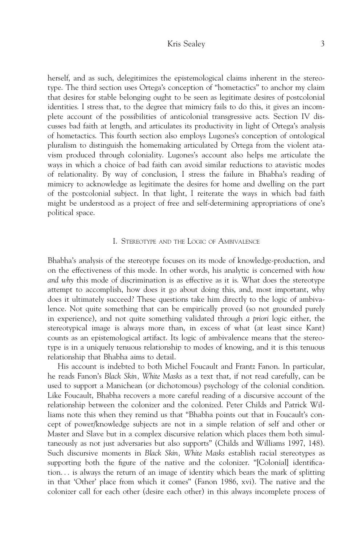herself, and as such, delegitimizes the epistemological claims inherent in the stereotype. The third section uses Ortega's conception of "hometactics" to anchor my claim that desires for stable belonging ought to be seen as legitimate desires of postcolonial identities. I stress that, to the degree that mimicry fails to do this, it gives an incomplete account of the possibilities of anticolonial transgressive acts. Section IV discusses bad faith at length, and articulates its productivity in light of Ortega's analysis of hometactics. This fourth section also employs Lugones's conception of ontological pluralism to distinguish the homemaking articulated by Ortega from the violent atavism produced through coloniality. Lugones's account also helps me articulate the ways in which a choice of bad faith can avoid similar reductions to atavistic modes of relationality. By way of conclusion, I stress the failure in Bhabha's reading of mimicry to acknowledge as legitimate the desires for home and dwelling on the part of the postcolonial subject. In that light, I reiterate the ways in which bad faith might be understood as a project of free and self-determining appropriations of one's political space.

# I. STEREOTYPE AND THE LOGIC OF AMBIVALENCE

Bhabha's analysis of the stereotype focuses on its mode of knowledge-production, and on the effectiveness of this mode. In other words, his analytic is concerned with how and why this mode of discrimination is as effective as it is. What does the stereotype attempt to accomplish, how does it go about doing this, and, most important, why does it ultimately succeed? These questions take him directly to the logic of ambivalence. Not quite something that can be empirically proved (so not grounded purely in experience), and not quite something validated through a priori logic either, the stereotypical image is always more than, in excess of what (at least since Kant) counts as an epistemological artifact. Its logic of ambivalence means that the stereotype is in a uniquely tenuous relationship to modes of knowing, and it is this tenuous relationship that Bhabha aims to detail.

His account is indebted to both Michel Foucault and Frantz Fanon. In particular, he reads Fanon's Black Skin, White Masks as a text that, if not read carefully, can be used to support a Manichean (or dichotomous) psychology of the colonial condition. Like Foucault, Bhabha recovers a more careful reading of a discursive account of the relationship between the colonizer and the colonized. Peter Childs and Patrick Williams note this when they remind us that "Bhabha points out that in Foucault's concept of power/knowledge subjects are not in a simple relation of self and other or Master and Slave but in a complex discursive relation which places them both simultaneously as not just adversaries but also supports" (Childs and Williams 1997, 148). Such discursive moments in Black Skin, White Masks establish racial stereotypes as supporting both the figure of the native and the colonizer. "[Colonial] identification... is always the return of an image of identity which bears the mark of splitting in that 'Other' place from which it comes" (Fanon 1986, xvi). The native and the colonizer call for each other (desire each other) in this always incomplete process of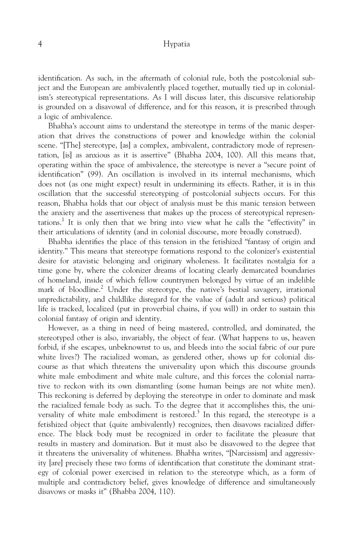identification. As such, in the aftermath of colonial rule, both the postcolonial subject and the European are ambivalently placed together, mutually tied up in colonialism's stereotypical representations. As I will discuss later, this discursive relationship is grounded on a disavowal of difference, and for this reason, it is prescribed through a logic of ambivalence.

Bhabha's account aims to understand the stereotype in terms of the manic desperation that drives the constructions of power and knowledge within the colonial scene. "[The] stereotype, [as] a complex, ambivalent, contradictory mode of representation, [is] as anxious as it is assertive" (Bhabha 2004, 100). All this means that, operating within the space of ambivalence, the stereotype is never a "secure point of identification" (99). An oscillation is involved in its internal mechanisms, which does not (as one might expect) result in undermining its effects. Rather, it is in this oscillation that the successful stereotyping of postcolonial subjects occurs. For this reason, Bhabha holds that our object of analysis must be this manic tension between the anxiety and the assertiveness that makes up the process of stereotypical representations.<sup>1</sup> It is only then that we bring into view what he calls the "effectivity" in their articulations of identity (and in colonial discourse, more broadly construed).

Bhabha identifies the place of this tension in the fetishized "fantasy of origin and identity." This means that stereotype formations respond to the colonizer's existential desire for atavistic belonging and originary wholeness. It facilitates nostalgia for a time gone by, where the colonizer dreams of locating clearly demarcated boundaries of homeland, inside of which fellow countrymen belonged by virtue of an indelible mark of bloodline.<sup>2</sup> Under the stereotype, the native's bestial savagery, irrational unpredictability, and childlike disregard for the value of (adult and serious) political life is tracked, localized (put in proverbial chains, if you will) in order to sustain this colonial fantasy of origin and identity.

However, as a thing in need of being mastered, controlled, and dominated, the stereotyped other is also, invariably, the object of fear. (What happens to us, heaven forbid, if she escapes, unbeknownst to us, and bleeds into the social fabric of our pure white lives?) The racialized woman, as gendered other, shows up for colonial discourse as that which threatens the universality upon which this discourse grounds white male embodiment and white male culture, and this forces the colonial narrative to reckon with its own dismantling (some human beings are not white men). This reckoning is deferred by deploying the stereotype in order to dominate and mask the racialized female body as such. To the degree that it accomplishes this, the universality of white male embodiment is restored.<sup>3</sup> In this regard, the stereotype is a fetishized object that (quite ambivalently) recognizes, then disavows racialized difference. The black body must be recognized in order to facilitate the pleasure that results in mastery and domination. But it must also be disavowed to the degree that it threatens the universality of whiteness. Bhabha writes, "[Narcissism] and aggressivity [are] precisely these two forms of identification that constitute the dominant strategy of colonial power exercised in relation to the stereotype which, as a form of multiple and contradictory belief, gives knowledge of difference and simultaneously disavows or masks it" (Bhabba 2004, 110).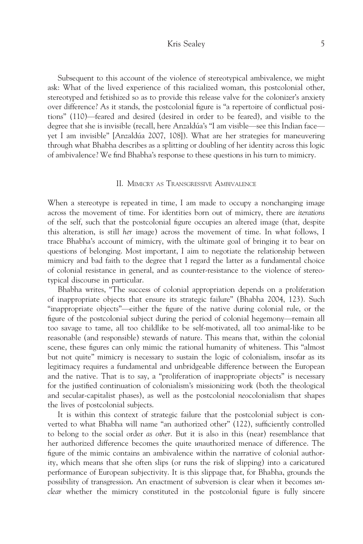Subsequent to this account of the violence of stereotypical ambivalence, we might ask: What of the lived experience of this racialized woman, this postcolonial other, stereotyped and fetishized so as to provide this release valve for the colonizer's anxiety over difference? As it stands, the postcolonial figure is "a repertoire of conflictual positions" (110)—feared and desired (desired in order to be feared), and visible to the degree that she is invisible (recall, here Anzaldúa's "I am visible—see this Indian face yet I am invisible" [Anzaldúa 2007, 108]). What are her strategies for maneuvering through what Bhabha describes as a splitting or doubling of her identity across this logic of ambivalence? We find Bhabha's response to these questions in his turn to mimicry.

#### II. MIMICRY AS TRANSGRESSIVE AMBIVALENCE

When a stereotype is repeated in time, I am made to occupy a nonchanging image across the movement of time. For identities born out of mimicry, there are iterations of the self, such that the postcolonial figure occupies an altered image (that, despite this alteration, is still her image) across the movement of time. In what follows, I trace Bhabha's account of mimicry, with the ultimate goal of bringing it to bear on questions of belonging. Most important, I aim to negotiate the relationship between mimicry and bad faith to the degree that I regard the latter as a fundamental choice of colonial resistance in general, and as counter-resistance to the violence of stereotypical discourse in particular.

Bhabha writes, "The success of colonial appropriation depends on a proliferation of inappropriate objects that ensure its strategic failure" (Bhabha 2004, 123). Such "inappropriate objects"—either the figure of the native during colonial rule, or the figure of the postcolonial subject during the period of colonial hegemony—remain all too savage to tame, all too childlike to be self-motivated, all too animal-like to be reasonable (and responsible) stewards of nature. This means that, within the colonial scene, these figures can only mimic the rational humanity of whiteness. This "almost but not quite" mimicry is necessary to sustain the logic of colonialism, insofar as its legitimacy requires a fundamental and unbridgeable difference between the European and the native. That is to say, a "proliferation of inappropriate objects" is necessary for the justified continuation of colonialism's missionizing work (both the theological and secular-capitalist phases), as well as the postcolonial neocolonialism that shapes the lives of postcolonial subjects.

It is within this context of strategic failure that the postcolonial subject is converted to what Bhabha will name "an authorized other" (122), sufficiently controlled to belong to the social order as other. But it is also in this (near) resemblance that her authorized difference becomes the quite unauthorized menace of difference. The figure of the mimic contains an ambivalence within the narrative of colonial authority, which means that she often slips (or runs the risk of slipping) into a caricatured performance of European subjectivity. It is this slippage that, for Bhabha, grounds the possibility of transgression. An enactment of subversion is clear when it becomes unclear whether the mimicry constituted in the postcolonial figure is fully sincere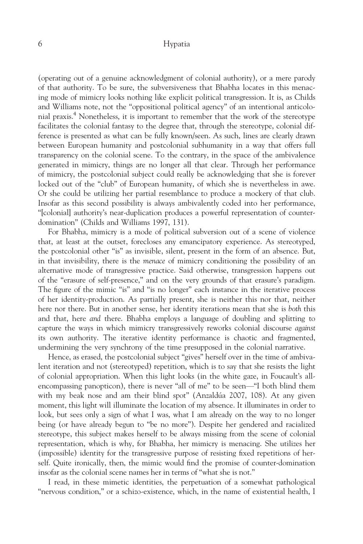(operating out of a genuine acknowledgment of colonial authority), or a mere parody of that authority. To be sure, the subversiveness that Bhabha locates in this menacing mode of mimicry looks nothing like explicit political transgression. It is, as Childs and Williams note, not the "oppositional political agency" of an intentional anticolonial praxis.4 Nonetheless, it is important to remember that the work of the stereotype facilitates the colonial fantasy to the degree that, through the stereotype, colonial difference is presented as what can be fully known/seen. As such, lines are clearly drawn between European humanity and postcolonial subhumanity in a way that offers full transparency on the colonial scene. To the contrary, in the space of the ambivalence generated in mimicry, things are no longer all that clear. Through her performance of mimicry, the postcolonial subject could really be acknowledging that she is forever locked out of the "club" of European humanity, of which she is nevertheless in awe. Or she could be utilizing her partial resemblance to produce a mockery of that club. Insofar as this second possibility is always ambivalently coded into her performance, "[colonial] authority's near-duplication produces a powerful representation of counterdomination" (Childs and Williams 1997, 131).

For Bhabha, mimicry is a mode of political subversion out of a scene of violence that, at least at the outset, forecloses any emancipatory experience. As stereotyped, the postcolonial other "is" as invisible, silent, present in the form of an absence. But, in that invisibility, there is the menace of mimicry conditioning the possibility of an alternative mode of transgressive practice. Said otherwise, transgression happens out of the "erasure of self-presence," and on the very grounds of that erasure's paradigm. The figure of the mimic "is" and "is no longer" each instance in the iterative process of her identity-production. As partially present, she is neither this nor that, neither here nor there. But in another sense, her identity iterations mean that she is both this and that, here and there. Bhabha employs a language of doubling and splitting to capture the ways in which mimicry transgressively reworks colonial discourse against its own authority. The iterative identity performance is chaotic and fragmented, undermining the very synchrony of the time presupposed in the colonial narrative.

Hence, as erased, the postcolonial subject "gives" herself over in the time of ambivalent iteration and not (stereotyped) repetition, which is to say that she resists the light of colonial appropriation. When this light looks (in the white gaze, in Foucault's allencompassing panopticon), there is never "all of me" to be seen—"I both blind them with my beak nose and am their blind spot" (Anzaldúa 2007, 108). At any given moment, this light will illuminate the location of my absence. It illuminates in order to look, but sees only a sign of what I was, what I am already on the way to no longer being (or have already begun to "be no more"). Despite her gendered and racialized stereotype, this subject makes herself to be always missing from the scene of colonial representation, which is why, for Bhabha, her mimicry is menacing. She utilizes her (impossible) identity for the transgressive purpose of resisting fixed repetitions of herself. Quite ironically, then, the mimic would find the promise of counter-domination insofar as the colonial scene names her in terms of "what she is not."

I read, in these mimetic identities, the perpetuation of a somewhat pathological "nervous condition," or a schizo-existence, which, in the name of existential health, I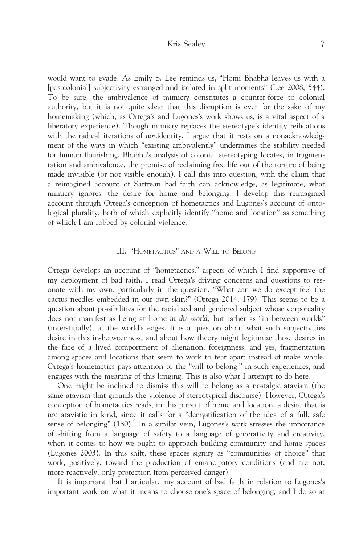would want to evade. As Emily S. Lee reminds us, "Homi Bhabha leaves us with a [postcolonial] subjectivity estranged and isolated in split moments" (Lee 2008, 544). To be sure, the ambivalence of mimicry constitutes a counter-force to colonial authority, but it is not quite clear that this disruption is ever for the sake of my homemaking (which, as Ortega's and Lugones's work shows us, is a vital aspect of a liberatory experience). Though mimicry replaces the stereotype's identity reifications with the radical iterations of nonidentity, I argue that it rests on a nonacknowledgment of the ways in which "existing ambivalently" undermines the stability needed for human flourishing. Bhabha's analysis of colonial stereotyping locates, in fragmentation and ambivalence, the promise of reclaiming free life out of the torture of being made invisible (or not visible enough). I call this into question, with the claim that a reimagined account of Sartrean bad faith can acknowledge, as legitimate, what mimicry ignores: the desire for home and belonging. I develop this reimagined account through Ortega's conception of hometactics and Lugones's account of ontological plurality, both of which explicitly identify "home and location" as something of which I am robbed by colonial violence.

# III. "HOMETACTICS" AND A WILL TO BELONG

Ortega develops an account of "hometactics," aspects of which I find supportive of my deployment of bad faith. I read Ortega's driving concerns and questions to resonate with my own, particularly in the question, "What can we do except feel the cactus needles embedded in our own skin?" (Ortega 2014, 179). This seems to be a question about possibilities for the racialized and gendered subject whose corporeality does not manifest as being at home in the world, but rather as "in between worlds" (interstitially), at the world's edges. It is a question about what such subjectivities desire in this in-betweenness, and about how theory might legitimize those desires in the face of a lived comportment of alienation, foreignness, and yes, fragmentation among spaces and locations that seem to work to tear apart instead of make whole. Ortega's hometactics pays attention to the "will to belong," in such experiences, and engages with the meaning of this longing. This is also what I attempt to do here.

One might be inclined to dismiss this will to belong as a nostalgic atavism (the same atavism that grounds the violence of stereotypical discourse). However, Ortega's conception of hometactics reads, in this pursuit of home and location, a desire that is not atavistic in kind, since it calls for a "demystification of the idea of a full, safe sense of belonging"  $(180)$ .<sup>5</sup> In a similar vein, Lugones's work stresses the importance of shifting from a language of safety to a language of generativity and creativity, when it comes to how we ought to approach building community and home spaces (Lugones 2003). In this shift, these spaces signify as "communities of choice" that work, positively, toward the production of emancipatory conditions (and are not, more reactively, only protection from perceived danger).

It is important that I articulate my account of bad faith in relation to Lugones's important work on what it means to choose one's space of belonging, and I do so at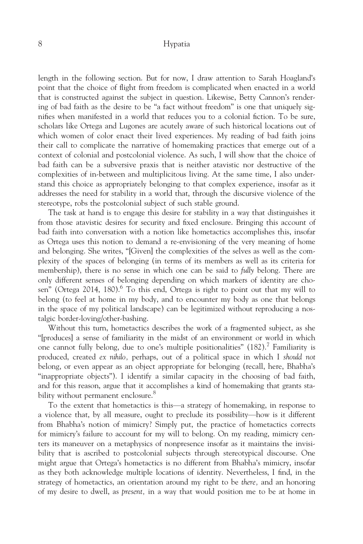length in the following section. But for now, I draw attention to Sarah Hoagland's point that the choice of flight from freedom is complicated when enacted in a world that is constructed against the subject in question. Likewise, Betty Cannon's rendering of bad faith as the desire to be "a fact without freedom" is one that uniquely signifies when manifested in a world that reduces you to a colonial fiction. To be sure, scholars like Ortega and Lugones are acutely aware of such historical locations out of which women of color enact their lived experiences. My reading of bad faith joins their call to complicate the narrative of homemaking practices that emerge out of a context of colonial and postcolonial violence. As such, I will show that the choice of bad faith can be a subversive praxis that is neither atavistic nor destructive of the complexities of in-between and multiplicitous living. At the same time, I also understand this choice as appropriately belonging to that complex experience, insofar as it addresses the need for stability in a world that, through the discursive violence of the stereotype, robs the postcolonial subject of such stable ground.

The task at hand is to engage this desire for stability in a way that distinguishes it from those atavistic desires for security and fixed enclosure. Bringing this account of bad faith into conversation with a notion like hometactics accomplishes this, insofar as Ortega uses this notion to demand a re-envisioning of the very meaning of home and belonging. She writes, "[Given] the complexities of the selves as well as the complexity of the spaces of belonging (in terms of its members as well as its criteria for membership), there is no sense in which one can be said to fully belong. There are only different senses of belonging depending on which markers of identity are chosen" (Ortega 2014, 180).<sup>6</sup> To this end, Ortega is right to point out that my will to belong (to feel at home in my body, and to encounter my body as one that belongs in the space of my political landscape) can be legitimized without reproducing a nostalgic border-loving/other-bashing.

Without this turn, hometactics describes the work of a fragmented subject, as she "[produces] a sense of familiarity in the midst of an environment or world in which one cannot fully belong, due to one's multiple positionalities"  $(182)^7$  Familiarity is produced, created ex nihilo, perhaps, out of a political space in which I should not belong, or even appear as an object appropriate for belonging (recall, here, Bhabha's "inappropriate objects"). I identify a similar capacity in the choosing of bad faith, and for this reason, argue that it accomplishes a kind of homemaking that grants stability without permanent enclosure.<sup>8</sup>

To the extent that hometactics is this—a strategy of homemaking, in response to a violence that, by all measure, ought to preclude its possibility—how is it different from Bhabha's notion of mimicry? Simply put, the practice of hometactics corrects for mimicry's failure to account for my will to belong. On my reading, mimicry centers its maneuver on a metaphysics of nonpresence insofar as it maintains the invisibility that is ascribed to postcolonial subjects through stereotypical discourse. One might argue that Ortega's hometactics is no different from Bhabha's mimicry, insofar as they both acknowledge multiple locations of identity. Nevertheless, I find, in the strategy of hometactics, an orientation around my right to be there, and an honoring of my desire to dwell, as present, in a way that would position me to be at home in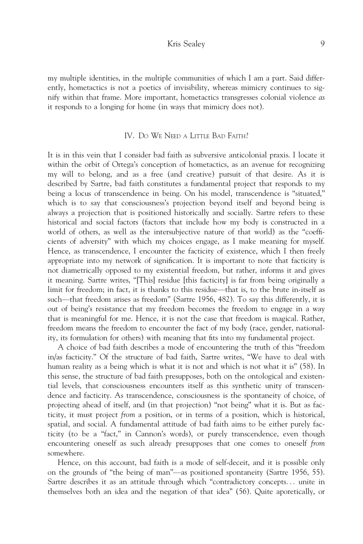my multiple identities, in the multiple communities of which I am a part. Said differently, hometactics is not a poetics of invisibility, whereas mimicry continues to signify within that frame. More important, hometactics transgresses colonial violence as it responds to a longing for home (in ways that mimicry does not).

## IV. DO WE NEED A LITTLE BAD FAITH?

It is in this vein that I consider bad faith as subversive anticolonial praxis. I locate it within the orbit of Ortega's conception of hometactics, as an avenue for recognizing my will to belong, and as a free (and creative) pursuit of that desire. As it is described by Sartre, bad faith constitutes a fundamental project that responds to my being a locus of transcendence in being. On his model, transcendence is "situated," which is to say that consciousness's projection beyond itself and beyond being is always a projection that is positioned historically and socially. Sartre refers to these historical and social factors (factors that include how my body is constructed in a world of others, as well as the intersubjective nature of that world) as the "coefficients of adversity" with which my choices engage, as I make meaning for myself. Hence, as transcendence, I encounter the facticity of existence, which I then freely appropriate into my network of signification. It is important to note that facticity is not diametrically opposed to my existential freedom, but rather, informs it and gives it meaning. Sartre writes, "[This] residue [this facticity] is far from being originally a limit for freedom; in fact, it is thanks to this residue—that is, to the brute in-itself as such—that freedom arises as freedom" (Sartre 1956, 482). To say this differently, it is out of being's resistance that my freedom becomes the freedom to engage in a way that is meaningful for me. Hence, it is not the case that freedom is magical. Rather, freedom means the freedom to encounter the fact of my body (race, gender, nationality, its formulation for others) with meaning that fits into my fundamental project.

A choice of bad faith describes a mode of encountering the truth of this "freedom in/as facticity." Of the structure of bad faith, Sartre writes, "We have to deal with human reality as a being which is what it is not and which is not what it is" (58). In this sense, the structure of bad faith presupposes, both on the ontological and existential levels, that consciousness encounters itself as this synthetic unity of transcendence and facticity. As transcendence, consciousness is the spontaneity of choice, of projecting ahead of itself, and (in that projection) "not being" what it is. But as facticity, it must project from a position, or in terms of a position, which is historical, spatial, and social. A fundamental attitude of bad faith aims to be either purely facticity (to be a "fact," in Cannon's words), or purely transcendence, even though encountering oneself as such already presupposes that one comes to oneself from somewhere.

Hence, on this account, bad faith is a mode of self-deceit, and it is possible only on the grounds of "the being of man"—as positioned spontaneity (Sartre 1956, 55). Sartre describes it as an attitude through which "contradictory concepts... unite in themselves both an idea and the negation of that idea" (56). Quite aporetically, or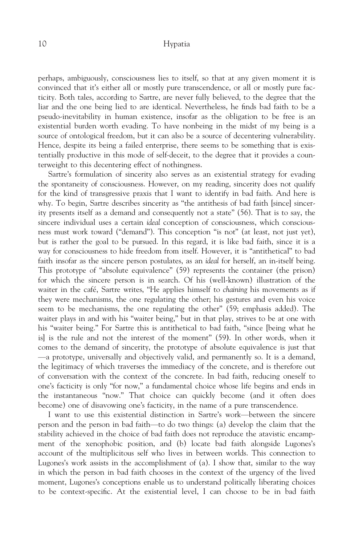perhaps, ambiguously, consciousness lies to itself, so that at any given moment it is convinced that it's either all or mostly pure transcendence, or all or mostly pure facticity. Both tales, according to Sartre, are never fully believed, to the degree that the liar and the one being lied to are identical. Nevertheless, he finds bad faith to be a pseudo-inevitability in human existence, insofar as the obligation to be free is an existential burden worth evading. To have nonbeing in the midst of my being is a source of ontological freedom, but it can also be a source of decentering vulnerability. Hence, despite its being a failed enterprise, there seems to be something that is existentially productive in this mode of self-deceit, to the degree that it provides a counterweight to this decentering effect of nothingness.

Sartre's formulation of sincerity also serves as an existential strategy for evading the spontaneity of consciousness. However, on my reading, sincerity does not qualify for the kind of transgressive praxis that I want to identify in bad faith. And here is why. To begin, Sartre describes sincerity as "the antithesis of bad faith [since] sincerity presents itself as a demand and consequently not a state" (56). That is to say, the sincere individual uses a certain *ideal* conception of consciousness, which consciousness must work toward ("demand"). This conception "is not" (at least, not just yet), but is rather the goal to be pursued. In this regard, it is like bad faith, since it is a way for consciousness to hide freedom from itself. However, it is "antithetical" to bad faith insofar as the sincere person postulates, as an ideal for herself, an in-itself being. This prototype of "absolute equivalence" (59) represents the container (the prison) for which the sincere person is in search. Of his (well-known) illustration of the waiter in the café, Sartre writes, "He applies himself to chaining his movements as if they were mechanisms, the one regulating the other; his gestures and even his voice seem to be mechanisms, the one regulating the other" (59; emphasis added). The waiter plays in and with his "waiter being," but in that play, strives to be at one with his "waiter being." For Sartre this is antithetical to bad faith, "since [being what he is] is the rule and not the interest of the moment" (59). In other words, when it comes to the demand of sincerity, the prototype of absolute equivalence is just that —a prototype, universally and objectively valid, and permanently so. It is a demand, the legitimacy of which traverses the immediacy of the concrete, and is therefore out of conversation with the context of the concrete. In bad faith, reducing oneself to one's facticity is only "for now," a fundamental choice whose life begins and ends in the instantaneous "now." That choice can quickly become (and it often does become) one of disavowing one's facticity, in the name of a pure transcendence.

I want to use this existential distinction in Sartre's work—between the sincere person and the person in bad faith—to do two things: (a) develop the claim that the stability achieved in the choice of bad faith does not reproduce the atavistic encampment of the xenophobic position, and (b) locate bad faith alongside Lugones's account of the multiplicitous self who lives in between worlds. This connection to Lugones's work assists in the accomplishment of (a). I show that, similar to the way in which the person in bad faith chooses in the context of the urgency of the lived moment, Lugones's conceptions enable us to understand politically liberating choices to be context-specific. At the existential level, I can choose to be in bad faith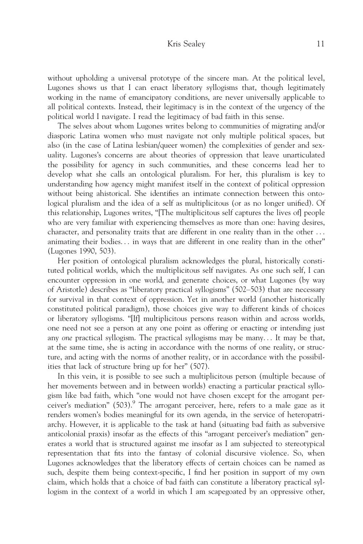without upholding a universal prototype of the sincere man. At the political level, Lugones shows us that I can enact liberatory syllogisms that, though legitimately working in the name of emancipatory conditions, are never universally applicable to all political contexts. Instead, their legitimacy is in the context of the urgency of the political world I navigate. I read the legitimacy of bad faith in this sense.

The selves about whom Lugones writes belong to communities of migrating and/or diasporic Latina women who must navigate not only multiple political spaces, but also (in the case of Latina lesbian/queer women) the complexities of gender and sexuality. Lugones's concerns are about theories of oppression that leave unarticulated the possibility for agency in such communities, and these concerns lead her to develop what she calls an ontological pluralism. For her, this pluralism is key to understanding how agency might manifest itself in the context of political oppression without being ahistorical. She identifies an intimate connection between this ontological pluralism and the idea of a self as multiplicitous (or as no longer unified). Of this relationship, Lugones writes, "[The multiplicitous self captures the lives of] people who are very familiar with experiencing themselves as more than one: having desires, character, and personality traits that are different in one reality than in the other ... animating their bodies... in ways that are different in one reality than in the other" (Lugones 1990, 503).

Her position of ontological pluralism acknowledges the plural, historically constituted political worlds, which the multiplicitous self navigates. As one such self, I can encounter oppression in one world, and generate choices, or what Lugones (by way of Aristotle) describes as "liberatory practical syllogisms" (502–503) that are necessary for survival in that context of oppression. Yet in another world (another historically constituted political paradigm), those choices give way to different kinds of choices or liberatory syllogisms. "[If] multiplicitous persons reason within and across worlds, one need not see a person at any one point as offering or enacting or intending just any one practical syllogism. The practical syllogisms may be many... It may be that, at the same time, she is acting in accordance with the norms of one reality, or structure, and acting with the norms of another reality, or in accordance with the possibilities that lack of structure bring up for her" (507).

In this vein, it is possible to see such a multiplicitous person (multiple because of her movements between and in between worlds) enacting a particular practical syllogism like bad faith, which "one would not have chosen except for the arrogant perceiver's mediation"  $(503)$ . The arrogant perceiver, here, refers to a male gaze as it renders women's bodies meaningful for its own agenda, in the service of heteropatriarchy. However, it is applicable to the task at hand (situating bad faith as subversive anticolonial praxis) insofar as the effects of this "arrogant perceiver's mediation" generates a world that is structured against me insofar as I am subjected to stereotypical representation that fits into the fantasy of colonial discursive violence. So, when Lugones acknowledges that the liberatory effects of certain choices can be named as such, despite them being context-specific, I find her position in support of my own claim, which holds that a choice of bad faith can constitute a liberatory practical syllogism in the context of a world in which I am scapegoated by an oppressive other,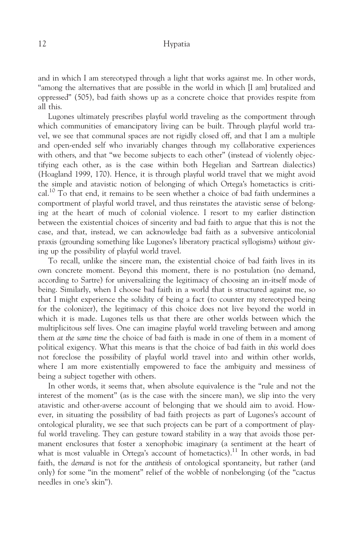and in which I am stereotyped through a light that works against me. In other words, "among the alternatives that are possible in the world in which [I am] brutalized and oppressed" (505), bad faith shows up as a concrete choice that provides respite from all this.

Lugones ultimately prescribes playful world traveling as the comportment through which communities of emancipatory living can be built. Through playful world travel, we see that communal spaces are not rigidly closed off, and that I am a multiple and open-ended self who invariably changes through my collaborative experiences with others, and that "we become subjects to each other" (instead of violently objectifying each other, as is the case within both Hegelian and Sartrean dialectics) (Hoagland 1999, 170). Hence, it is through playful world travel that we might avoid the simple and atavistic notion of belonging of which Ortega's hometactics is critical.10 To that end, it remains to be seen whether a choice of bad faith undermines a comportment of playful world travel, and thus reinstates the atavistic sense of belonging at the heart of much of colonial violence. I resort to my earlier distinction between the existential choices of sincerity and bad faith to argue that this is not the case, and that, instead, we can acknowledge bad faith as a subversive anticolonial praxis (grounding something like Lugones's liberatory practical syllogisms) without giving up the possibility of playful world travel.

To recall, unlike the sincere man, the existential choice of bad faith lives in its own concrete moment. Beyond this moment, there is no postulation (no demand, according to Sartre) for universalizing the legitimacy of choosing an in-itself mode of being. Similarly, when I choose bad faith in a world that is structured against me, so that I might experience the solidity of being a fact (to counter my stereotyped being for the colonizer), the legitimacy of this choice does not live beyond the world in which it is made. Lugones tells us that there are other worlds between which the multiplicitous self lives. One can imagine playful world traveling between and among them at the same time the choice of bad faith is made in one of them in a moment of political exigency. What this means is that the choice of bad faith in this world does not foreclose the possibility of playful world travel into and within other worlds, where I am more existentially empowered to face the ambiguity and messiness of being a subject together with others.

In other words, it seems that, when absolute equivalence is the "rule and not the interest of the moment" (as is the case with the sincere man), we slip into the very atavistic and other-averse account of belonging that we should aim to avoid. However, in situating the possibility of bad faith projects as part of Lugones's account of ontological plurality, we see that such projects can be part of a comportment of playful world traveling. They can gesture toward stability in a way that avoids those permanent enclosures that foster a xenophobic imaginary (a sentiment at the heart of what is most valuable in Ortega's account of hometactics).<sup>11</sup> In other words, in bad faith, the demand is not for the antithesis of ontological spontaneity, but rather (and only) for some "in the moment" relief of the wobble of nonbelonging (of the "cactus needles in one's skin").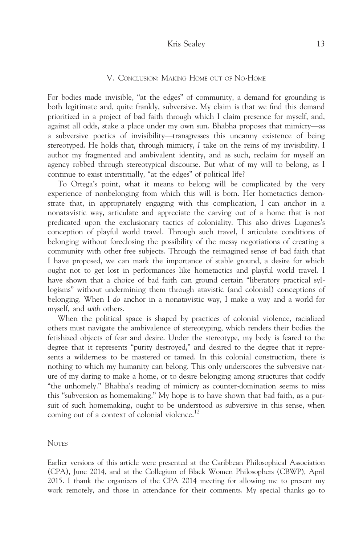#### V. CONCLUSION: MAKING HOME OUT OF NO-HOME

For bodies made invisible, "at the edges" of community, a demand for grounding is both legitimate and, quite frankly, subversive. My claim is that we find this demand prioritized in a project of bad faith through which I claim presence for myself, and, against all odds, stake a place under my own sun. Bhabha proposes that mimicry—as a subversive poetics of invisibility—transgresses this uncanny existence of being stereotyped. He holds that, through mimicry, I take on the reins of my invisibility. I author my fragmented and ambivalent identity, and as such, reclaim for myself an agency robbed through stereotypical discourse. But what of my will to belong, as I continue to exist interstitially, "at the edges" of political life?

To Ortega's point, what it means to belong will be complicated by the very experience of nonbelonging from which this will is born. Her hometactics demonstrate that, in appropriately engaging with this complication, I can anchor in a nonatavistic way, articulate and appreciate the carving out of a home that is not predicated upon the exclusionary tactics of coloniality. This also drives Lugones's conception of playful world travel. Through such travel, I articulate conditions of belonging without foreclosing the possibility of the messy negotiations of creating a community with other free subjects. Through the reimagined sense of bad faith that I have proposed, we can mark the importance of stable ground, a desire for which ought not to get lost in performances like hometactics and playful world travel. I have shown that a choice of bad faith can ground certain "liberatory practical syllogisms" without undermining them through atavistic (and colonial) conceptions of belonging. When I do anchor in a nonatavistic way, I make a way and a world for myself, and with others.

When the political space is shaped by practices of colonial violence, racialized others must navigate the ambivalence of stereotyping, which renders their bodies the fetishized objects of fear and desire. Under the stereotype, my body is feared to the degree that it represents "purity destroyed," and desired to the degree that it represents a wilderness to be mastered or tamed. In this colonial construction, there is nothing to which my humanity can belong. This only underscores the subversive nature of my daring to make a home, or to desire belonging among structures that codify "the unhomely." Bhabha's reading of mimicry as counter-domination seems to miss this "subversion as homemaking." My hope is to have shown that bad faith, as a pursuit of such homemaking, ought to be understood as subversive in this sense, when coming out of a context of colonial violence.<sup>12</sup>

**NOTES** 

Earlier versions of this article were presented at the Caribbean Philosophical Association (CPA), June 2014, and at the Collegium of Black Women Philosophers (CBWP), April 2015. I thank the organizers of the CPA 2014 meeting for allowing me to present my work remotely, and those in attendance for their comments. My special thanks go to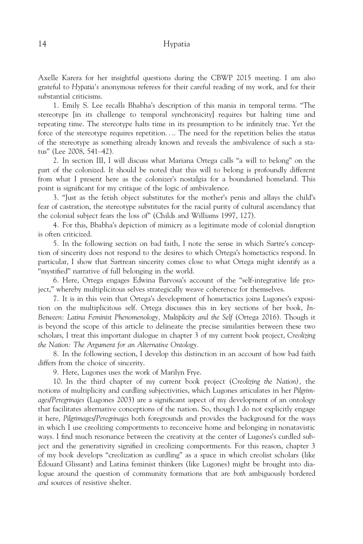Axelle Karera for her insightful questions during the CBWP 2015 meeting. I am also grateful to Hypatia's anonymous referees for their careful reading of my work, and for their substantial criticisms.

1. Emily S. Lee recalls Bhabha's description of this mania in temporal terms. "The stereotype [in its challenge to temporal synchronicity] requires but halting time and repeating time. The stereotype halts time in its presumption to be infinitely true. Yet the force of the stereotype requires repetition.... The need for the repetition belies the status of the stereotype as something already known and reveals the ambivalence of such a status" (Lee 2008, 541–42).

2. In section III, I will discuss what Mariana Ortega calls "a will to belong" on the part of the colonized. It should be noted that this will to belong is profoundly different from what I present here as the colonizer's nostalgia for a boundaried homeland. This point is significant for my critique of the logic of ambivalence.

3. "Just as the fetish object substitutes for the mother's penis and allays the child's fear of castration, the stereotype substitutes for the racial purity of cultural ascendancy that the colonial subject fears the loss of" (Childs and Williams 1997, 127).

4. For this, Bbabha's depiction of mimicry as a legitimate mode of colonial disruption is often criticized.

5. In the following section on bad faith, I note the sense in which Sartre's conception of sincerity does not respond to the desires to which Ortega's hometactics respond. In particular, I show that Sartrean sincerity comes close to what Ortega might identify as a "mystified" narrative of full belonging in the world.

6. Here, Ortega engages Edwina Barvosa's account of the "self-integrative life project," whereby multiplicitous selves strategically weave coherence for themselves.

7. It is in this vein that Ortega's development of hometactics joins Lugones's exposition on the multiplicitous self. Ortega discusses this in key sections of her book, In-Between: Latina Feminist Phenomenology, Multiplicity and the Self (Ortega 2016). Though it is beyond the scope of this article to delineate the precise similarities between these two scholars, I treat this important dialogue in chapter 3 of my current book project, Creolizing the Nation: The Argument for an Alternative Ontology.

8. In the following section, I develop this distinction in an account of how bad faith differs from the choice of sincerity.

9. Here, Lugones uses the work of Marilyn Frye.

10. In the third chapter of my current book project (Creolizing the Nation), the notions of multiplicity and curdling subjectivities, which Lugones articulates in her Pilgrimages/Peregrinajes (Lugones 2003) are a significant aspect of my development of an ontology that facilitates alternative conceptions of the nation. So, though I do not explicitly engage it here, Pilgrimages/Peregrinajes both foregrounds and provides the background for the ways in which I use creolizing comportments to reconceive home and belonging in nonatavistic ways. I find much resonance between the creativity at the center of Lugones's curdled subject and the generativity signified in creolizing comportments. For this reason, chapter 3 of my book develops "creolization as curdling" as a space in which creolist scholars (like Edouard Glissant) and Latina feminist thinkers (like Lugones) might be brought into dia- logue around the question of community formations that are both ambiguously bordered and sources of resistive shelter.